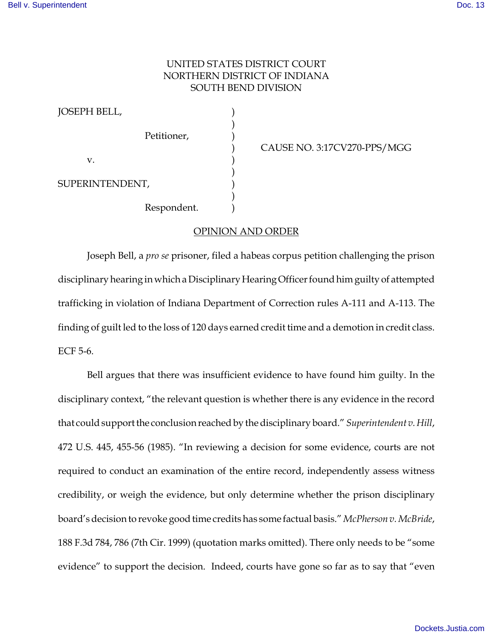## UNITED STATES DISTRICT COURT NORTHERN DISTRICT OF INDIANA SOUTH BEND DIVISION

JOSEPH BELL, ) ) Petitioner.  $\mathbf{v}$ .  $\qquad \qquad$  ) ) SUPERINTENDENT, ) Respondent. )

) CAUSE NO. 3:17CV270-PPS/MGG

## OPINION AND ORDER

Joseph Bell, a *pro se* prisoner, filed a habeas corpus petition challenging the prison disciplinary hearing in which a Disciplinary Hearing Officer found him guilty of attempted trafficking in violation of Indiana Department of Correction rules A-111 and A-113. The finding of guilt led to the loss of 120 days earned credit time and a demotion in credit class. ECF 5-6.

Bell argues that there was insufficient evidence to have found him guilty. In the disciplinary context, "the relevant question is whether there is any evidence in the record that could support the conclusion reached by the disciplinary board." *Superintendent v. Hill*, 472 U.S. 445, 455-56 (1985). "In reviewing a decision for some evidence, courts are not required to conduct an examination of the entire record, independently assess witness credibility, or weigh the evidence, but only determine whether the prison disciplinary board's decision to revoke good time credits has some factual basis." *McPherson v. McBride*, 188 F.3d 784, 786 (7th Cir. 1999) (quotation marks omitted). There only needs to be "some evidence" to support the decision. Indeed, courts have gone so far as to say that "even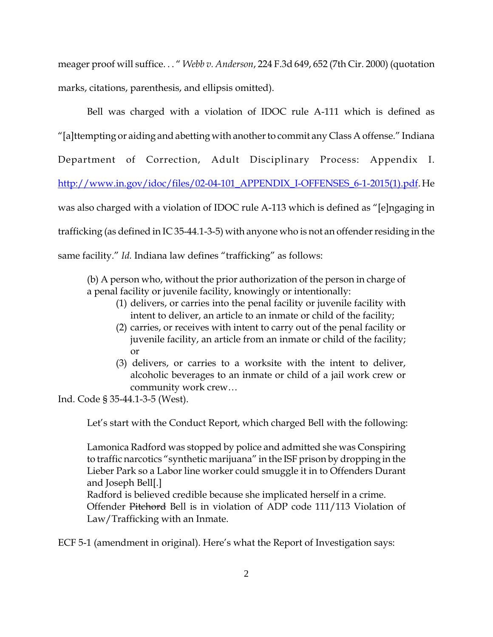meager proof will suffice. . . " *Webb v. Anderson*, 224 F.3d 649, 652 (7th Cir. 2000) (quotation marks, citations, parenthesis, and ellipsis omitted).

Bell was charged with a violation of IDOC rule A-111 which is defined as "[a]ttempting or aiding and abetting with another to commit any Class A offense." Indiana Department of Correction, Adult Disciplinary Process: Appendix I. http://www.in.gov/idoc/files/02-04-101\_APPENDIX\_I-OFFENSES\_6-1-2015(1).pdf. He was also charged with a violation of IDOC rule A-113 which is defined as "[e]ngaging in trafficking (as defined in IC 35-44.1-3-5) with anyone who is not an offender residing in the same facility." *Id.* Indiana law defines "trafficking" as follows:

(b) A person who, without the prior authorization of the person in charge of a penal facility or juvenile facility, knowingly or intentionally:

- (1) delivers, or carries into the penal facility or juvenile facility with intent to deliver, an article to an inmate or child of the facility;
- (2) carries, or receives with intent to carry out of the penal facility or juvenile facility, an article from an inmate or child of the facility; or
- (3) delivers, or carries to a worksite with the intent to deliver, alcoholic beverages to an inmate or child of a jail work crew or community work crew…

Ind. Code § 35-44.1-3-5 (West).

Let's start with the Conduct Report, which charged Bell with the following:

Lamonica Radford was stopped by police and admitted she was Conspiring to traffic narcotics "synthetic marijuana" in the ISF prison by dropping in the Lieber Park so a Labor line worker could smuggle it in to Offenders Durant and Joseph Bell[.]

Radford is believed credible because she implicated herself in a crime. Offender Pitchord Bell is in violation of ADP code 111/113 Violation of Law/Trafficking with an Inmate.

ECF 5-1 (amendment in original). Here's what the Report of Investigation says: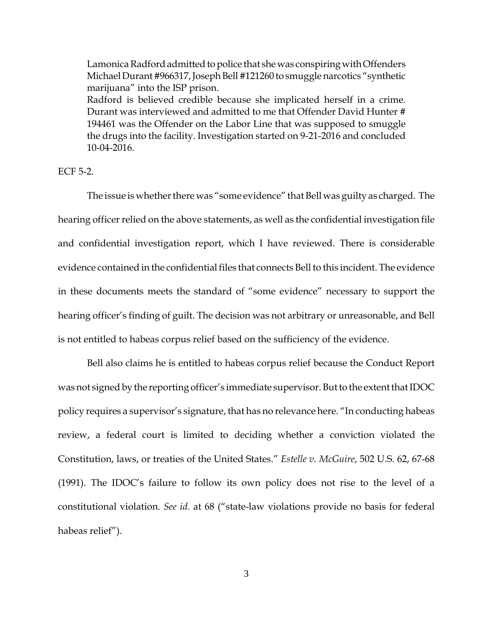Lamonica Radford admitted to police that she was conspiring with Offenders Michael Durant #966317, Joseph Bell #121260 to smuggle narcotics "synthetic marijuana" into the ISP prison. Radford is believed credible because she implicated herself in a crime. Durant was interviewed and admitted to me that Offender David Hunter # 194461 was the Offender on the Labor Line that was supposed to smuggle the drugs into the facility. Investigation started on 9-21-2016 and concluded 10-04-2016.

ECF 5-2.

The issue is whether there was "some evidence" that Bell was guilty as charged. The hearing officer relied on the above statements, as well as the confidential investigation file and confidential investigation report, which I have reviewed. There is considerable evidence contained in the confidential files that connects Bell to this incident. The evidence in these documents meets the standard of "some evidence" necessary to support the hearing officer's finding of guilt. The decision was not arbitrary or unreasonable, and Bell is not entitled to habeas corpus relief based on the sufficiency of the evidence.

Bell also claims he is entitled to habeas corpus relief because the Conduct Report was not signed by the reporting officer's immediate supervisor. But to the extent that IDOC policy requires a supervisor's signature, that has no relevance here. "In conducting habeas review, a federal court is limited to deciding whether a conviction violated the Constitution, laws, or treaties of the United States." *Estelle v. McGuire*, 502 U.S. 62, 67-68 (1991). The IDOC's failure to follow its own policy does not rise to the level of a constitutional violation. *See id.* at 68 ("state-law violations provide no basis for federal habeas relief").